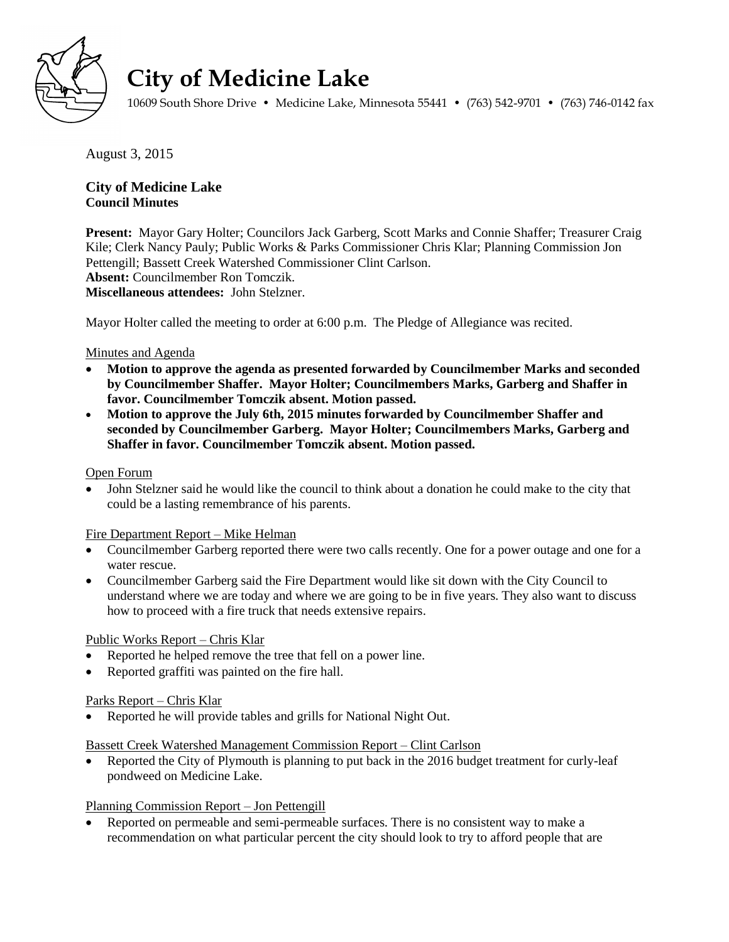

# **City of Medicine Lake**

10609 South Shore Drive • Medicine Lake, Minnesota 55441 • (763) 542-9701 • (763) 746-0142 fax

August 3, 2015

# **City of Medicine Lake Council Minutes**

**Present:** Mayor Gary Holter; Councilors Jack Garberg, Scott Marks and Connie Shaffer; Treasurer Craig Kile; Clerk Nancy Pauly; Public Works & Parks Commissioner Chris Klar; Planning Commission Jon Pettengill; Bassett Creek Watershed Commissioner Clint Carlson. **Absent:** Councilmember Ron Tomczik. **Miscellaneous attendees:** John Stelzner.

Mayor Holter called the meeting to order at 6:00 p.m. The Pledge of Allegiance was recited.

# Minutes and Agenda

- **Motion to approve the agenda as presented forwarded by Councilmember Marks and seconded by Councilmember Shaffer. Mayor Holter; Councilmembers Marks, Garberg and Shaffer in favor. Councilmember Tomczik absent. Motion passed.**
- **Motion to approve the July 6th, 2015 minutes forwarded by Councilmember Shaffer and seconded by Councilmember Garberg. Mayor Holter; Councilmembers Marks, Garberg and Shaffer in favor. Councilmember Tomczik absent. Motion passed.**

# Open Forum

 John Stelzner said he would like the council to think about a donation he could make to the city that could be a lasting remembrance of his parents.

# Fire Department Report – Mike Helman

- Councilmember Garberg reported there were two calls recently. One for a power outage and one for a water rescue.
- Councilmember Garberg said the Fire Department would like sit down with the City Council to understand where we are today and where we are going to be in five years. They also want to discuss how to proceed with a fire truck that needs extensive repairs.

# Public Works Report – Chris Klar

- Reported he helped remove the tree that fell on a power line.
- Reported graffiti was painted on the fire hall.

# Parks Report – Chris Klar

• Reported he will provide tables and grills for National Night Out.

# Bassett Creek Watershed Management Commission Report – Clint Carlson

• Reported the City of Plymouth is planning to put back in the 2016 budget treatment for curly-leaf pondweed on Medicine Lake.

# Planning Commission Report – Jon Pettengill

 Reported on permeable and semi-permeable surfaces. There is no consistent way to make a recommendation on what particular percent the city should look to try to afford people that are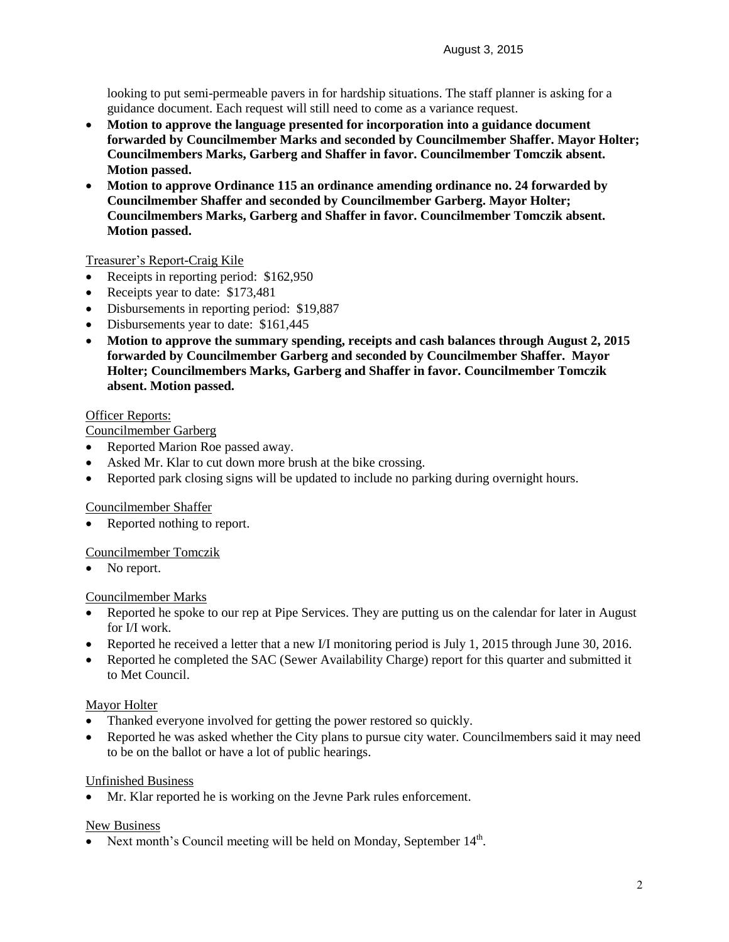looking to put semi-permeable pavers in for hardship situations. The staff planner is asking for a guidance document. Each request will still need to come as a variance request.

- **Motion to approve the language presented for incorporation into a guidance document forwarded by Councilmember Marks and seconded by Councilmember Shaffer. Mayor Holter; Councilmembers Marks, Garberg and Shaffer in favor. Councilmember Tomczik absent. Motion passed.**
- **Motion to approve Ordinance 115 an ordinance amending ordinance no. 24 forwarded by Councilmember Shaffer and seconded by Councilmember Garberg. Mayor Holter; Councilmembers Marks, Garberg and Shaffer in favor. Councilmember Tomczik absent. Motion passed.**

# Treasurer's Report-Craig Kile

- Receipts in reporting period: \$162,950
- Receipts year to date: \$173,481
- Disbursements in reporting period: \$19,887
- Disbursements year to date: \$161,445
- **Motion to approve the summary spending, receipts and cash balances through August 2, 2015 forwarded by Councilmember Garberg and seconded by Councilmember Shaffer. Mayor Holter; Councilmembers Marks, Garberg and Shaffer in favor. Councilmember Tomczik absent. Motion passed.**

# Officer Reports:

Councilmember Garberg

- Reported Marion Roe passed away.
- Asked Mr. Klar to cut down more brush at the bike crossing.
- Reported park closing signs will be updated to include no parking during overnight hours.

# Councilmember Shaffer

Reported nothing to report.

# Councilmember Tomczik

• No report.

# Councilmember Marks

- Reported he spoke to our rep at Pipe Services. They are putting us on the calendar for later in August for I/I work.
- Reported he received a letter that a new I/I monitoring period is July 1, 2015 through June 30, 2016.
- Reported he completed the SAC (Sewer Availability Charge) report for this quarter and submitted it to Met Council.

# Mayor Holter

- Thanked everyone involved for getting the power restored so quickly.
- Reported he was asked whether the City plans to pursue city water. Councilmembers said it may need to be on the ballot or have a lot of public hearings.

# Unfinished Business

Mr. Klar reported he is working on the Jevne Park rules enforcement.

# New Business

• Next month's Council meeting will be held on Monday, September  $14<sup>th</sup>$ .